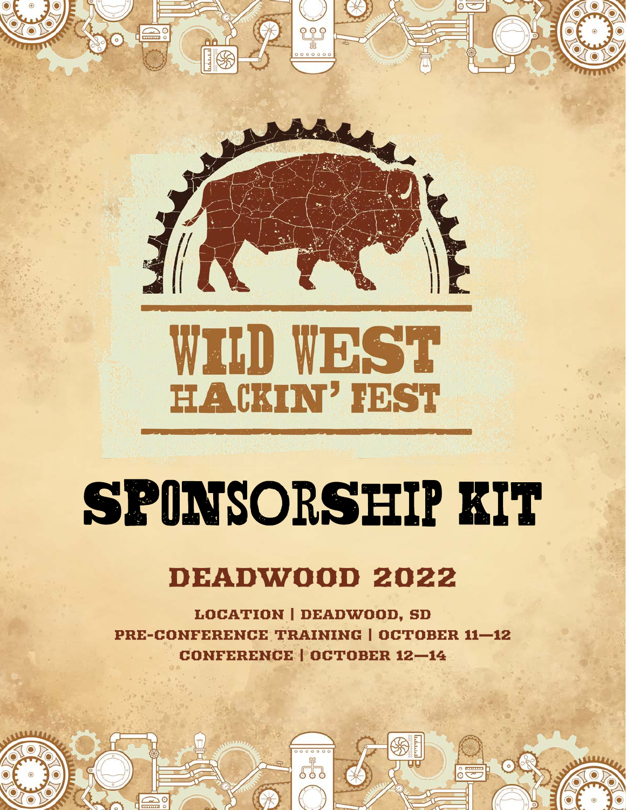

## DEADWOOD 2022

LOCATION | DEADWOOD, SD PRE-CONFERENCE TRAINING | OCTOBER 11—12 CONFERENCE | OCTOBER 12—14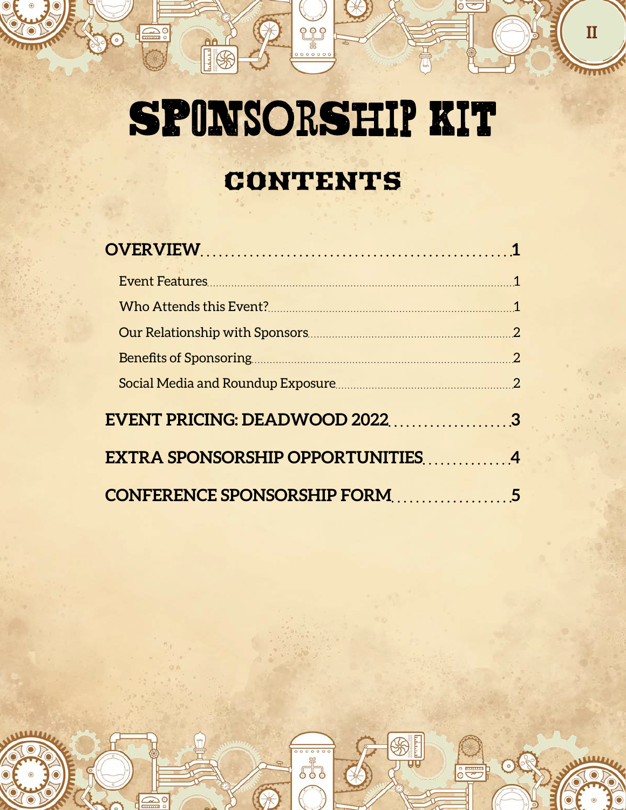200

<u>es</u>

 $\bigoplus_0$ 

**Af** 

**II**

 $\circ$ 

 $rac{1}{2}$ 

## CONTENTS

| EVENT PRICING: DEADWOOD 20223    |  |
|----------------------------------|--|
| EXTRA SPONSORSHIP OPPORTUNITIES4 |  |
| CONFERENCE SPONSORSHIP FORM5     |  |

 $0000$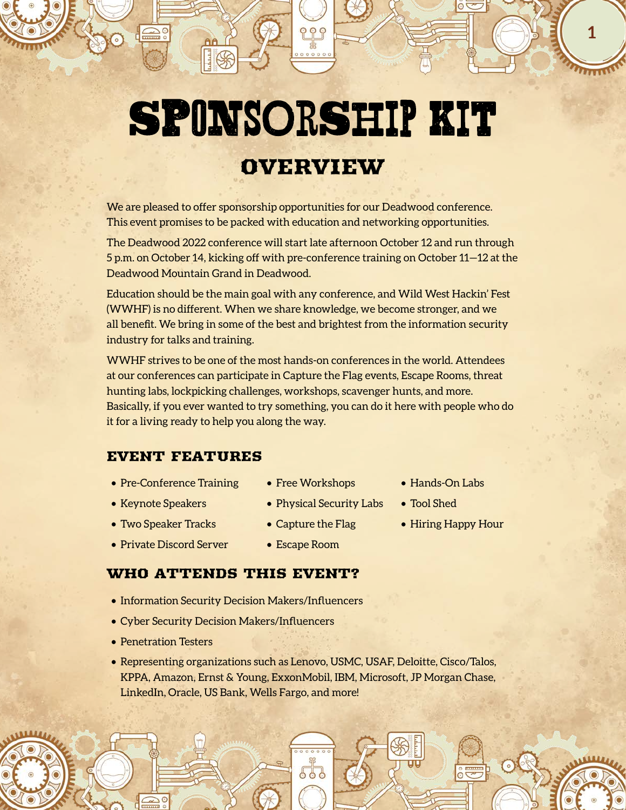## OVERVIEW

<span id="page-2-0"></span>We are pleased to offer sponsorship opportunities for our Deadwood conference. This event promises to be packed with education and networking opportunities.

The Deadwood 2022 conference will start late afternoon October 12 and run through 5 p.m. on October 14, kicking off with pre-conference training on October 11—12 at the Deadwood Mountain Grand in Deadwood.

Education should be the main goal with any conference, and Wild West Hackin' Fest (WWHF) is no different. When we share knowledge, we become stronger, and we all benefit. We bring in some of the best and brightest from the information security industry for talks and training.

WWHF strives to be one of the most hands-on conferences in the world. Attendees at our conferences can participate in Capture the Flag events, Escape Rooms, threat hunting labs, lockpicking challenges, workshops, scavenger hunts, and more. Basically, if you ever wanted to try something, you can do it here with people who do it for a living ready to help you along the way.

### EVENT FEATURES

- Pre-Conference Training
- Keynote Speakers
- Two Speaker Tracks
- Free Workshops
- Physical Security Labs
- Capture the Flag
- Hands-On Labs
- Tool Shed
- Hiring Happy Hour

**1**

- Private Discord Server
- Escape Room

## WHO ATTENDS THIS EVENT?

- Information Security Decision Makers/Influencers
- Cyber Security Decision Makers/Influencers
- Penetration Testers
- Representing organizations such as Lenovo, USMC, USAF, Deloitte, Cisco/Talos, KPPA, Amazon, Ernst & Young, ExxonMobil, IBM, Microsoft, JP Morgan Chase, LinkedIn, Oracle, US Bank, Wells Fargo, and more!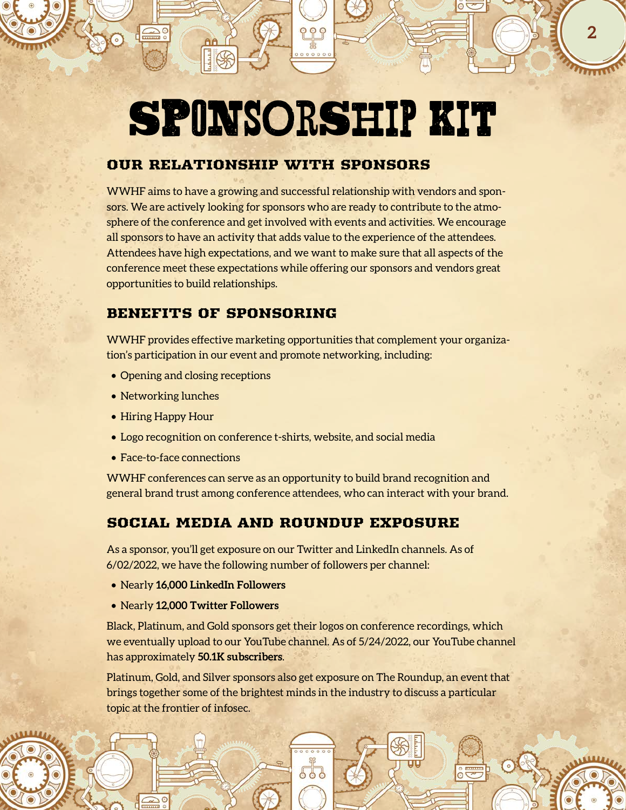**2**

### <span id="page-3-0"></span>OUR RELATIONSHIP WITH SPONSORS

WWHF aims to have a growing and successful relationship with vendors and sponsors. We are actively looking for sponsors who are ready to contribute to the atmosphere of the conference and get involved with events and activities. We encourage all sponsors to have an activity that adds value to the experience of the attendees. Attendees have high expectations, and we want to make sure that all aspects of the conference meet these expectations while offering our sponsors and vendors great opportunities to build relationships.

### BENEFITS OF SPONSORING

WWHF provides effective marketing opportunities that complement your organization's participation in our event and promote networking, including:

- Opening and closing receptions
- Networking lunches
- Hiring Happy Hour
- Logo recognition on conference t-shirts, website, and social media
- Face-to-face connections

WWHF conferences can serve as an opportunity to build brand recognition and general brand trust among conference attendees, who can interact with your brand.

### SOCIAL MEDIA AND ROUNDUP EXPOSURE

As a sponsor, you'll get exposure on our Twitter and LinkedIn channels. As of 6/02/2022, we have the following number of followers per channel:

- Nearly **16,000 LinkedIn Followers**
- Nearly **12,000 Twitter Followers**

Black, Platinum, and Gold sponsors get their logos on conference recordings, which we eventually upload to our YouTube channel. As of 5/24/2022, our YouTube channel has approximately **50.1K subscribers**.

Platinum, Gold, and Silver sponsors also get exposure on The Roundup, an event that brings together some of the brightest minds in the industry to discuss a particular topic at the frontier of infosec.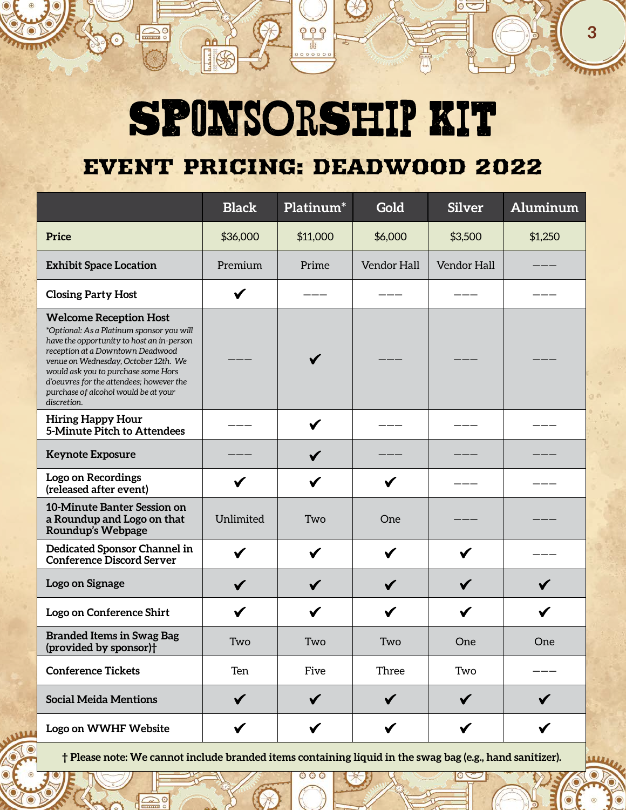၀ု ၀ု ရှ

**3**

## <span id="page-4-0"></span>EVENT PRICING: DEADWOOD 2022

|                                                                                                                                                                                                                                                                                                                                               | <b>Black</b> | Platinum <sup>*</sup> | Gold         | <b>Silver</b> | Aluminum     |
|-----------------------------------------------------------------------------------------------------------------------------------------------------------------------------------------------------------------------------------------------------------------------------------------------------------------------------------------------|--------------|-----------------------|--------------|---------------|--------------|
| Price                                                                                                                                                                                                                                                                                                                                         | \$36,000     | \$11,000              | \$6,000      | \$3,500       | \$1,250      |
| <b>Exhibit Space Location</b>                                                                                                                                                                                                                                                                                                                 | Premium      | Prime                 | Vendor Hall  | Vendor Hall   |              |
| <b>Closing Party Host</b>                                                                                                                                                                                                                                                                                                                     | $\checkmark$ |                       |              |               |              |
| <b>Welcome Reception Host</b><br>*Optional: As a Platinum sponsor you will<br>have the opportunity to host an in-person<br>reception at a Downtown Deadwood<br>venue on Wednesday, October 12th. We<br>would ask you to purchase some Hors<br>d'oeuvres for the attendees; however the<br>purchase of alcohol would be at your<br>discretion. |              |                       |              |               |              |
| <b>Hiring Happy Hour</b><br>5-Minute Pitch to Attendees                                                                                                                                                                                                                                                                                       |              | $\checkmark$          |              |               |              |
| <b>Keynote Exposure</b>                                                                                                                                                                                                                                                                                                                       |              | $\checkmark$          |              |               |              |
| <b>Logo on Recordings</b><br>(released after event)                                                                                                                                                                                                                                                                                           |              |                       |              |               |              |
| 10-Minute Banter Session on<br>a Roundup and Logo on that<br>Roundup's Webpage                                                                                                                                                                                                                                                                | Unlimited    | Two                   | One          |               |              |
| Dedicated Sponsor Channel in<br><b>Conference Discord Server</b>                                                                                                                                                                                                                                                                              | $\checkmark$ | $\checkmark$          | $\checkmark$ | $\checkmark$  |              |
| Logo on Signage                                                                                                                                                                                                                                                                                                                               | $\checkmark$ | $\checkmark$          | $\checkmark$ | $\checkmark$  |              |
| Logo on Conference Shirt                                                                                                                                                                                                                                                                                                                      |              | ✔                     | ✔            | $\checkmark$  |              |
| <b>Branded Items in Swag Bag</b><br>(provided by sponsor) <sup>†</sup>                                                                                                                                                                                                                                                                        | Two          | Two                   | Two          | One           | One          |
| <b>Conference Tickets</b>                                                                                                                                                                                                                                                                                                                     | Ten          | Five                  | Three        | Two           |              |
| <b>Social Meida Mentions</b>                                                                                                                                                                                                                                                                                                                  | $\checkmark$ |                       |              | $\checkmark$  |              |
| Logo on WWHF Website                                                                                                                                                                                                                                                                                                                          |              | $\checkmark$          | ✔            | $\checkmark$  | $\checkmark$ |

**† Please note: We cannot include branded items containing liquid in the swag bag (e.g., hand sanitizer).**

 $\bigcirc$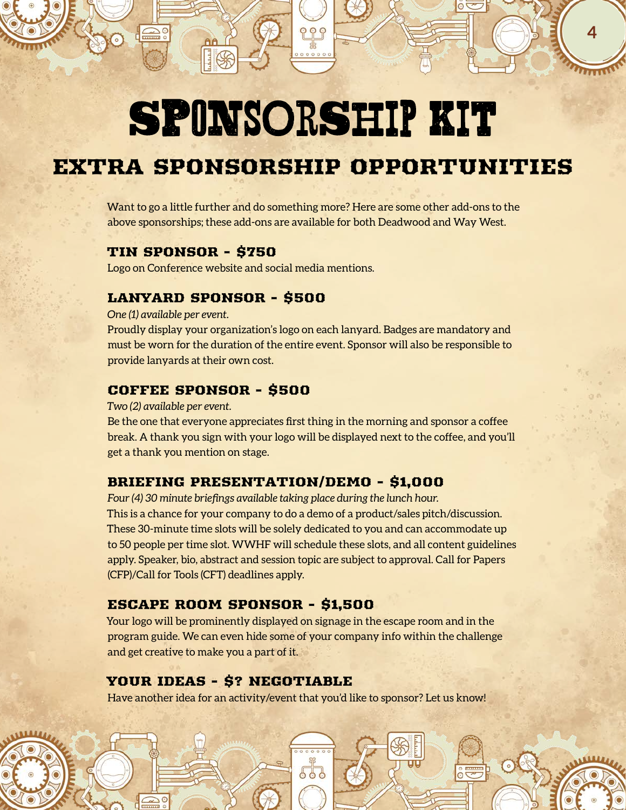**4**

## <span id="page-5-0"></span>EXTRA SPONSORSHIP OPPORTUNITIES

Want to go a little further and do something more? Here are some other add-ons to the above sponsorships; these add-ons are available for both Deadwood and Way West.

### TIN SPONSOR - \$750

Logo on Conference website and social media mentions.

### LANYARD SPONSOR - \$500

*One (1) available per event.*

Proudly display your organization's logo on each lanyard. Badges are mandatory and must be worn for the duration of the entire event. Sponsor will also be responsible to provide lanyards at their own cost.

### COFFEE SPONSOR - \$500

*Two (2) available per event.*

Be the one that everyone appreciates first thing in the morning and sponsor a coffee break. A thank you sign with your logo will be displayed next to the coffee, and you'll get a thank you mention on stage.

### BRIEFING PRESENTATION/DEMO - \$1,000

*Four (4) 30 minute briefings available taking place during the lunch hour.* This is a chance for your company to do a demo of a product/sales pitch/discussion. These 30-minute time slots will be solely dedicated to you and can accommodate up to 50 people per time slot. WWHF will schedule these slots, and all content guidelines apply. Speaker, bio, abstract and session topic are subject to approval. Call for Papers (CFP)/Call for Tools (CFT) deadlines apply.

### ESCAPE ROOM SPONSOR - \$1,500

Your logo will be prominently displayed on signage in the escape room and in the program guide. We can even hide some of your company info within the challenge and get creative to make you a part of it.

### YOUR IDEAS - \$? NEGOTIABLE

Have another idea for an activity/event that you'd like to sponsor? Let us know!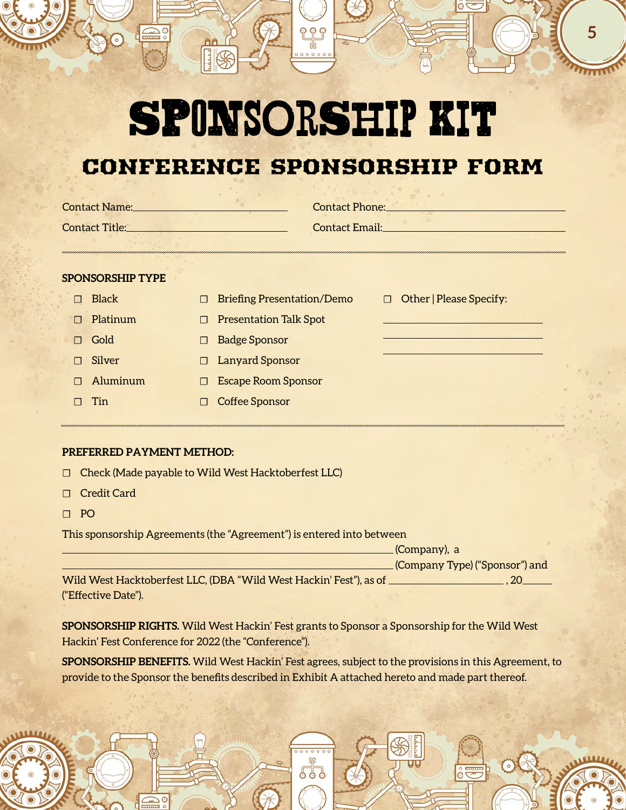## <span id="page-6-0"></span>CONFERENCE SPONSORSHIP FORM

| <b>Contact Name:</b>  | <b>Contact Phone:</b> |
|-----------------------|-----------------------|
| <b>Contact Title:</b> | <b>Contact Email:</b> |
|                       |                       |
|                       |                       |
|                       |                       |

#### **SPONSORSHIP TYPE**

| Black    | $\Box$ Briefing Presentation/Demo | $\Box$ Other   Please Sp |
|----------|-----------------------------------|--------------------------|
| Platinum | $\Box$ Presentation Talk Spot     |                          |
| Gold     | $\Box$ Badge Sponsor              |                          |
| Silver   | $\Box$ Lanyard Sponsor            |                          |
| Aluminum | $\Box$ Escape Room Sponsor        |                          |
| Tin      | Coffee Sponsor                    |                          |

#### **PREFERRED PAYMENT METHOD:**

- ☐ Check (Made payable to Wild West Hacktoberfest LLC)
- ☐ Credit Card
- ☐ PO

This sponsorship Agreements (the "Agreement") is entered into between

|                                                                    | . (Company), a                   |
|--------------------------------------------------------------------|----------------------------------|
|                                                                    | . (Company Type) ("Sponsor") and |
| Wild West Hacktoberfest LLC, (DBA "Wild West Hackin' Fest"), as of |                                  |
| ("Effective Date").                                                |                                  |

**SPONSORSHIP RIGHTS.** Wild West Hackin' Fest grants to Sponsor a Sponsorship for the Wild West Hackin' Fest Conference for 2022 (the "Conference").

**SPONSORSHIP BENEFITS.** Wild West Hackin' Fest agrees, subject to the provisions in this Agreement, to provide to the Sponsor the benefits described in Exhibit A attached hereto and made part thereof.

ecify:

**5**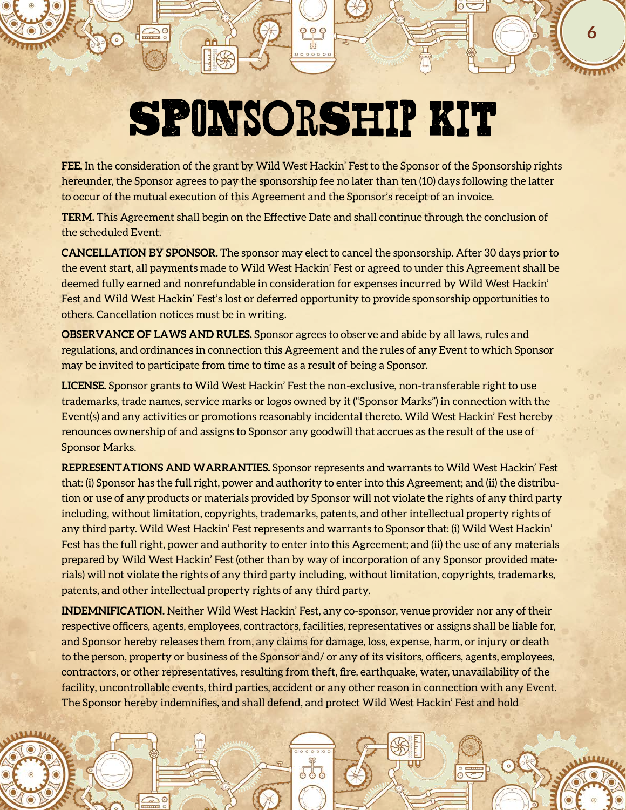**6**

**FEE.** In the consideration of the grant by Wild West Hackin' Fest to the Sponsor of the Sponsorship rights hereunder, the Sponsor agrees to pay the sponsorship fee no later than ten (10) days following the latter to occur of the mutual execution of this Agreement and the Sponsor's receipt of an invoice.

**TERM.** This Agreement shall begin on the Effective Date and shall continue through the conclusion of the scheduled Event.

**CANCELLATION BY SPONSOR.** The sponsor may elect to cancel the sponsorship. After 30 days prior to the event start, all payments made to Wild West Hackin' Fest or agreed to under this Agreement shall be deemed fully earned and nonrefundable in consideration for expenses incurred by Wild West Hackin' Fest and Wild West Hackin' Fest's lost or deferred opportunity to provide sponsorship opportunities to others. Cancellation notices must be in writing.

**OBSERVANCE OF LAWS AND RULES.** Sponsor agrees to observe and abide by all laws, rules and regulations, and ordinances in connection this Agreement and the rules of any Event to which Sponsor may be invited to participate from time to time as a result of being a Sponsor.

**LICENSE.** Sponsor grants to Wild West Hackin' Fest the non-exclusive, non-transferable right to use trademarks, trade names, service marks or logos owned by it ("Sponsor Marks") in connection with the Event(s) and any activities or promotions reasonably incidental thereto. Wild West Hackin' Fest hereby renounces ownership of and assigns to Sponsor any goodwill that accrues as the result of the use of Sponsor Marks.

**REPRESENTATIONS AND WARRANTIES.** Sponsor represents and warrants to Wild West Hackin' Fest that: (i) Sponsor has the full right, power and authority to enter into this Agreement; and (ii) the distribution or use of any products or materials provided by Sponsor will not violate the rights of any third party including, without limitation, copyrights, trademarks, patents, and other intellectual property rights of any third party. Wild West Hackin' Fest represents and warrants to Sponsor that: (i) Wild West Hackin' Fest has the full right, power and authority to enter into this Agreement; and (ii) the use of any materials prepared by Wild West Hackin' Fest (other than by way of incorporation of any Sponsor provided materials) will not violate the rights of any third party including, without limitation, copyrights, trademarks, patents, and other intellectual property rights of any third party.

**INDEMNIFICATION.** Neither Wild West Hackin' Fest, any co-sponsor, venue provider nor any of their respective officers, agents, employees, contractors, facilities, representatives or assigns shall be liable for, and Sponsor hereby releases them from, any claims for damage, loss, expense, harm, or injury or death to the person, property or business of the Sponsor and/ or any of its visitors, officers, agents, employees, contractors, or other representatives, resulting from theft, fire, earthquake, water, unavailability of the facility, uncontrollable events, third parties, accident or any other reason in connection with any Event. The Sponsor hereby indemnifies, and shall defend, and protect Wild West Hackin' Fest and hold

 $\Omega$